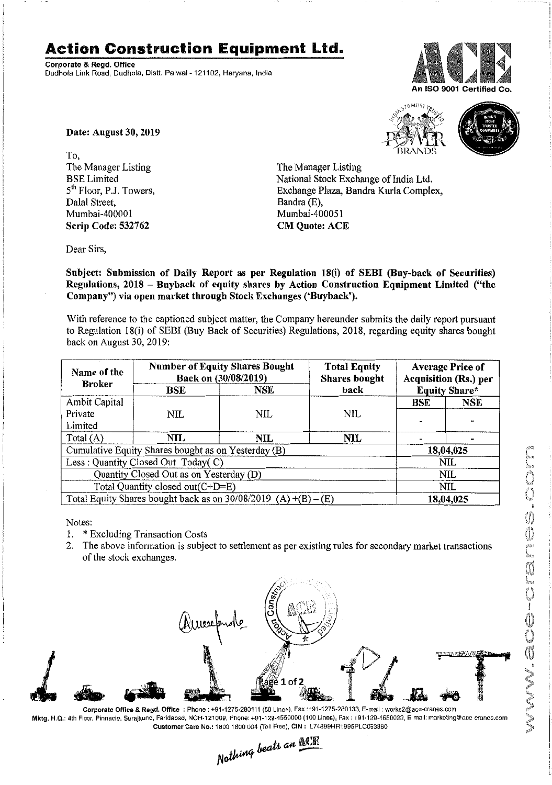## **Action Construction Equipment Ltd.**

Corporate & Regd. Office Dudhola Link Road, Dudhola, Distt. Palwal - 121102, Haryana, India



Date: August 30, 2019

To, The Manager Listing BSE Limited 5<sup>th</sup> Floor, P.J. Towers, Dalal Street, Mumbai-400001 Scrip Code: 532762





The Manager Listing National Stock Exchange of India Ltd. Exchange Plaza, Bandra Kurla Complex, Bandra (E), Mumbai-400051 CM Quote: ACE

Dear Sirs,

Subject: Submission of Daily Report as per Regulation 18(i) of SEBI (Buy-back of Securities) Regulations, 2018 - Buyback of equity shares by Action Construction Equipment Limited ("the Company") via open market through Stock Exchanges ('Buyback').

With reference to the captioned subject matter, the Company hereunder submits the daily report pursuant to Regulation 18(i) of SEBI (Buy Back of Securities) Regulations, 2018, regarding equity shares bought back on August 30,2019:

| Name of the<br><b>Broker</b>                                      | <b>Number of Equity Shares Bought</b><br>Back on (30/08/2019) |            | <b>Total Equity</b><br><b>Shares</b> bought | <b>Average Price of</b><br><b>Acquisition (Rs.) per</b> |            |  |
|-------------------------------------------------------------------|---------------------------------------------------------------|------------|---------------------------------------------|---------------------------------------------------------|------------|--|
|                                                                   | BSE                                                           | NSE        | back                                        | <b>Equity Share*</b>                                    |            |  |
| Ambit Capital                                                     |                                                               |            |                                             | <b>BSE</b>                                              | <b>NSE</b> |  |
| Private                                                           | NIL                                                           | NIL        | NIL                                         |                                                         |            |  |
| Limited                                                           |                                                               |            |                                             |                                                         |            |  |
| Total $(A)$                                                       | $\mathbf{NIL}$                                                | <b>NIL</b> | NIL                                         |                                                         |            |  |
| Cumulative Equity Shares bought as on Yesterday (B)               |                                                               |            |                                             |                                                         | 18,04,025  |  |
| Less: Quantity Closed Out Today(C)                                |                                                               |            |                                             | NIL                                                     |            |  |
| Quantity Closed Out as on Yesterday (D)                           |                                                               |            |                                             | NIL                                                     |            |  |
| Total Quantity closed out(C+D=E)                                  |                                                               |            |                                             |                                                         | NIL        |  |
| Total Equity Shares bought back as on $30/08/2019$ (A) +(B) – (E) |                                                               |            |                                             | 18,04,025                                               |            |  |

Notes:

1. \* Excluding Transaction Costs

2. The above information is subject to settlement as per existing rules for secondary market transactions of the stock exchanges.



Corporate Office & Regd. Office; Phone: *+91·1275·280111 (50* Lines), Fax:+91·1275·280133, E-mail: works2@ace-cranes.com Mktg. H.Q.: 4th Floor, Pinnacle, Surajkund, Faridabad, NCR-121009, Phone: +91-129-4550000 (100 Lines), Fax: 191-129-4550022, E-mail: markoting@aoc oranco.com

Customer Care No.: 1800 1800 004 (Toll Free), CIN: L74899HR1995PLC053860<br>Nathing beats an **ACTE**